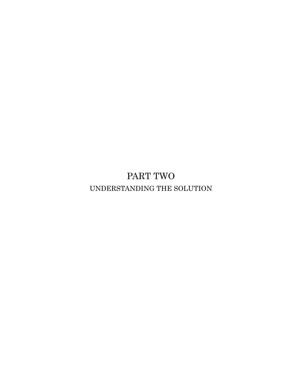PART TWO UNDERSTANDING THE SOLUTION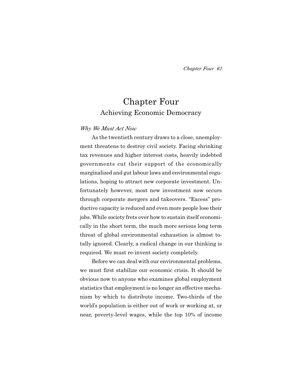# Chapter Four Achieving Economic Democracy

#### *Why We Must Act Now*

As the twentieth century draws to a close, unemployment threatens to destroy civil society. Facing shrinking tax revenues and higher interest costs, heavily indebted governments cut their support of the economically marginalized and gut labour laws and environmental regulations, hoping to attract new corporate investment. Unfortunately however, most new investment now occurs through corporate mergers and takeovers. "Excess" productive capacity is reduced and even more people lose their jobs. While society frets over how to sustain itself economically in the short term, the much more serious long term threat of global environmental exhaustion is almost totally ignored. Clearly, a radical change in our thinking is required. We must re-invent society completely.

Before we can deal with our environmental problems, we must first stabilize our economic crisis. It should be obvious now to anyone who examines global employment statistics that employment is no longer an effective mechanism by which to distribute income. Two-thirds of the world's population is either out of work or working at, or near, poverty-level wages, while the top 10% of income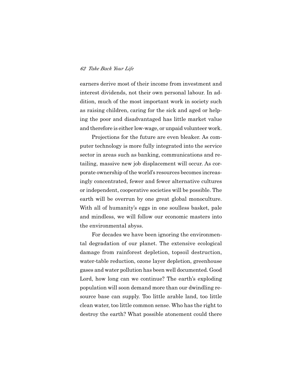earners derive most of their income from investment and interest dividends, not their own personal labour. In addition, much of the most important work in society such as raising children, caring for the sick and aged or helping the poor and disadvantaged has little market value and therefore is either low-wage, or unpaid volunteer work.

Projections for the future are even bleaker. As computer technology is more fully integrated into the service sector in areas such as banking, communications and retailing, massive new job displacement will occur. As corporate ownership of the world's resources becomes increasingly concentrated, fewer and fewer alternative cultures or independent, cooperative societies will be possible. The earth will be overrun by one great global monoculture. With all of humanity's eggs in one soulless basket, pale and mindless, we will follow our economic masters into the environmental abyss.

For decades we have been ignoring the environmental degradation of our planet. The extensive ecological damage from rainforest depletion, topsoil destruction, water-table reduction, ozone layer depletion, greenhouse gases and water pollution has been well documented. Good Lord, how long can we continue? The earth's exploding population will soon demand more than our dwindling resource base can supply. Too little arable land, too little clean water, too little common sense. Who has the right to destroy the earth? What possible atonement could there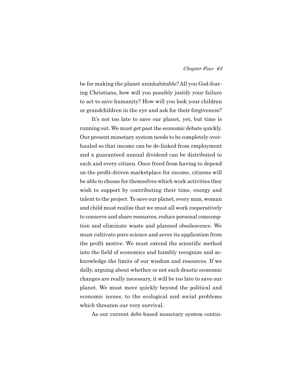be for making the planet uninhabitable? All you God-fearing Christians, how will you possibly justify your failure to act to save humanity? How will you look your children or grandchildren in the eye and ask for their forgiveness?

It's not too late to save our planet, yet, but time is running out. We must get past the economic debate quickly. Our present monetary system needs to be completely overhauled so that income can be de-linked from employment and a guaranteed annual dividend can be distributed to each and every citizen. Once freed from having to depend on the profit-driven marketplace for income, citizens will be able to choose for themselves which work activities they wish to support by contributing their time, energy and talent to the project. To save our planet, every man, woman and child must realize that we must all work cooperatively to conserve and share resources, reduce personal consumption and eliminate waste and planned obsolescence. We must cultivate pure science and sever its application from the profit motive. We must extend the scientific method into the field of economics and humbly recognize and acknowledge the limits of our wisdom and resources. If we dally, arguing about whether or not such drastic economic changes are really necessary, it will be too late to save our planet. We must move quickly beyond the political and economic issues, to the ecological and social problems which threaten our very survival.

As our current debt-based monetary system contin-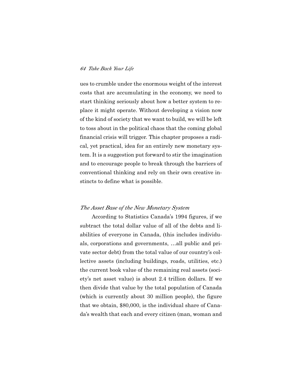ues to crumble under the enormous weight of the interest costs that are accumulating in the economy, we need to start thinking seriously about how a better system to replace it might operate. Without developing a vision now of the kind of society that we want to build, we will be left to toss about in the political chaos that the coming global financial crisis will trigger. This chapter proposes a radical, yet practical, idea for an entirely new monetary system. It is a suggestion put forward to stir the imagination and to encourage people to break through the barriers of conventional thinking and rely on their own creative instincts to define what is possible.

#### *The Asset Base of the New Monetary System*

According to Statistics Canada's 1994 figures, if we subtract the total dollar value of all of the debts and liabilities of everyone in Canada, (this includes individuals, corporations and governments, …all public and private sector debt) from the total value of our country's collective assets (including buildings, roads, utilities, etc.) the current book value of the remaining real assets (society's net asset value) is about 2.4 trillion dollars. If we then divide that value by the total population of Canada (which is currently about 30 million people), the figure that we obtain, \$80,000, is the individual share of Canada's wealth that each and every citizen (man, woman and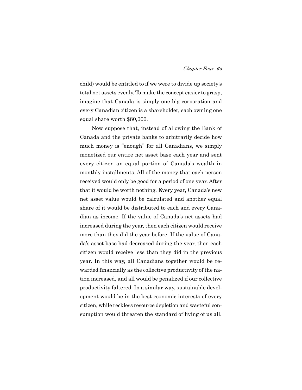child) would be entitled to if we were to divide up society's total net assets evenly. To make the concept easier to grasp, imagine that Canada is simply one big corporation and every Canadian citizen is a shareholder, each owning one equal share worth \$80,000.

Now suppose that, instead of allowing the Bank of Canada and the private banks to arbitrarily decide how much money is "enough" for all Canadians, we simply monetized our entire net asset base each year and sent every citizen an equal portion of Canada's wealth in monthly installments. All of the money that each person received would only be good for a period of one year. After that it would be worth nothing. Every year, Canada's new net asset value would be calculated and another equal share of it would be distributed to each and every Canadian as income. If the value of Canada's net assets had increased during the year, then each citizen would receive more than they did the year before. If the value of Canada's asset base had decreased during the year, then each citizen would receive less than they did in the previous year. In this way, all Canadians together would be rewarded financially as the collective productivity of the nation increased, and all would be penalized if our collective productivity faltered. In a similar way, sustainable development would be in the best economic interests of every citizen, while reckless resource depletion and wasteful consumption would threaten the standard of living of us all.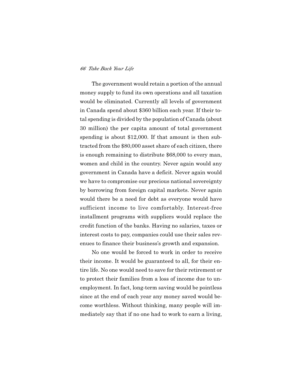The government would retain a portion of the annual money supply to fund its own operations and all taxation would be eliminated. Currently all levels of government in Canada spend about \$360 billion each year. If their total spending is divided by the population of Canada (about 30 million) the per capita amount of total government spending is about \$12,000. If that amount is then subtracted from the \$80,000 asset share of each citizen, there is enough remaining to distribute \$68,000 to every man, women and child in the country. Never again would any government in Canada have a deficit. Never again would we have to compromise our precious national sovereignty by borrowing from foreign capital markets. Never again would there be a need for debt as everyone would have sufficient income to live comfortably. Interest-free installment programs with suppliers would replace the credit function of the banks. Having no salaries, taxes or interest costs to pay, companies could use their sales revenues to finance their business's growth and expansion.

No one would be forced to work in order to receive their income. It would be guaranteed to all, for their entire life. No one would need to save for their retirement or to protect their families from a loss of income due to unemployment. In fact, long-term saving would be pointless since at the end of each year any money saved would become worthless. Without thinking, many people will immediately say that if no one had to work to earn a living,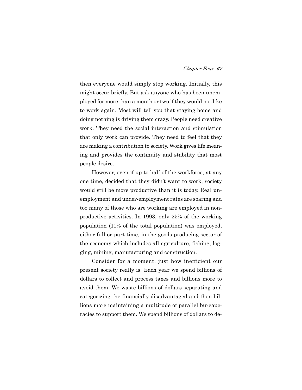then everyone would simply stop working. Initially, this might occur briefly. But ask anyone who has been unemployed for more than a month or two if they would not like to work again. Most will tell you that staying home and doing nothing is driving them crazy. People need creative work. They need the social interaction and stimulation that only work can provide. They need to feel that they are making a contribution to society. Work gives life meaning and provides the continuity and stability that most people desire.

However, even if up to half of the workforce, at any one time, decided that they didn't want to work, society would still be more productive than it is today. Real unemployment and under-employment rates are soaring and too many of those who are working are employed in nonproductive activities. In 1993, only 25% of the working population (11% of the total population) was employed, either full or part-time, in the goods producing sector of the economy which includes all agriculture, fishing, logging, mining, manufacturing and construction.

Consider for a moment, just how inefficient our present society really is. Each year we spend billions of dollars to collect and process taxes and billions more to avoid them. We waste billions of dollars separating and categorizing the financially disadvantaged and then billions more maintaining a multitude of parallel bureaucracies to support them. We spend billions of dollars to de-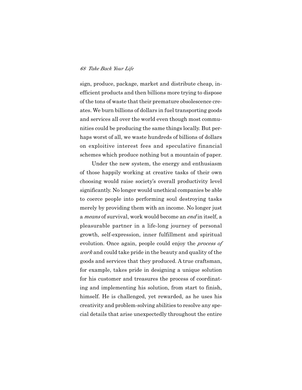sign, produce, package, market and distribute cheap, inefficient products and then billions more trying to dispose of the tons of waste that their premature obsolescence creates. We burn billions of dollars in fuel transporting goods and services all over the world even though most communities could be producing the same things locally. But perhaps worst of all, we waste hundreds of billions of dollars on exploitive interest fees and speculative financial schemes which produce nothing but a mountain of paper.

Under the new system, the energy and enthusiasm of those happily working at creative tasks of their own choosing would raise society's overall productivity level significantly. No longer would unethical companies be able to coerce people into performing soul destroying tasks merely by providing them with an income. No longer just a *means* of survival, work would become an *end* in itself, a pleasurable partner in a life-long journey of personal growth, self-expression, inner fulfillment and spiritual evolution. Once again, people could enjoy the *process of work* and could take pride in the beauty and quality of the goods and services that they produced. A true craftsman, for example, takes pride in designing a unique solution for his customer and treasures the process of coordinating and implementing his solution, from start to finish, himself. He is challenged, yet rewarded, as he uses his creativity and problem-solving abilities to resolve any special details that arise unexpectedly throughout the entire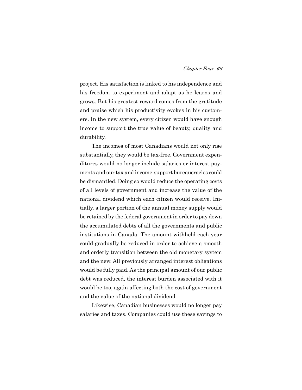project. His satisfaction is linked to his independence and his freedom to experiment and adapt as he learns and grows. But his greatest reward comes from the gratitude and praise which his productivity evokes in his customers. In the new system, every citizen would have enough income to support the true value of beauty, quality and durability.

The incomes of most Canadians would not only rise substantially, they would be tax-free. Government expenditures would no longer include salaries or interest payments and our tax and income-support bureaucracies could be dismantled. Doing so would reduce the operating costs of all levels of government and increase the value of the national dividend which each citizen would receive. Initially, a larger portion of the annual money supply would be retained by the federal government in order to pay down the accumulated debts of all the governments and public institutions in Canada. The amount withheld each year could gradually be reduced in order to achieve a smooth and orderly transition between the old monetary system and the new. All previously arranged interest obligations would be fully paid. As the principal amount of our public debt was reduced, the interest burden associated with it would be too, again affecting both the cost of government and the value of the national dividend.

Likewise, Canadian businesses would no longer pay salaries and taxes. Companies could use these savings to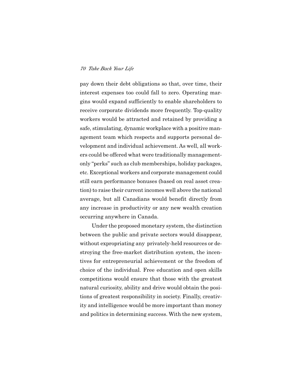pay down their debt obligations so that, over time, their interest expenses too could fall to zero. Operating margins would expand sufficiently to enable shareholders to receive corporate dividends more frequently. Top-quality workers would be attracted and retained by providing a safe, stimulating, dynamic workplace with a positive management team which respects and supports personal development and individual achievement. As well, all workers could be offered what were traditionally managementonly "perks" such as club memberships, holiday packages, etc. Exceptional workers and corporate management could still earn performance bonuses (based on real asset creation) to raise their current incomes well above the national average, but all Canadians would benefit directly from any increase in productivity or any new wealth creation occurring anywhere in Canada.

Under the proposed monetary system, the distinction between the public and private sectors would disappear, without expropriating any privately-held resources or destroying the free-market distribution system, the incentives for entrepreneurial achievement or the freedom of choice of the individual. Free education and open skills competitions would ensure that those with the greatest natural curiosity, ability and drive would obtain the positions of greatest responsibility in society. Finally, creativity and intelligence would be more important than money and politics in determining success. With the new system,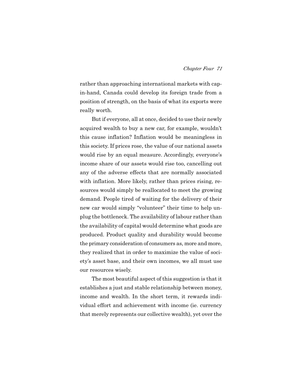rather than approaching international markets with capin-hand, Canada could develop its foreign trade from a position of strength, on the basis of what its exports were really worth.

But if everyone, all at once, decided to use their newly acquired wealth to buy a new car, for example, wouldn't this cause inflation? Inflation would be meaningless in this society. If prices rose, the value of our national assets would rise by an equal measure. Accordingly, everyone's income share of our assets would rise too, cancelling out any of the adverse effects that are normally associated with inflation. More likely, rather than prices rising, resources would simply be reallocated to meet the growing demand. People tired of waiting for the delivery of their new car would simply "volunteer" their time to help unplug the bottleneck. The availability of labour rather than the availability of capital would determine what goods are produced. Product quality and durability would become the primary consideration of consumers as, more and more, they realized that in order to maximize the value of society's asset base, and their own incomes, we all must use our resources wisely.

The most beautiful aspect of this suggestion is that it establishes a just and stable relationship between money, income and wealth. In the short term, it rewards individual effort and achievement with income (ie. currency that merely represents our collective wealth), yet over the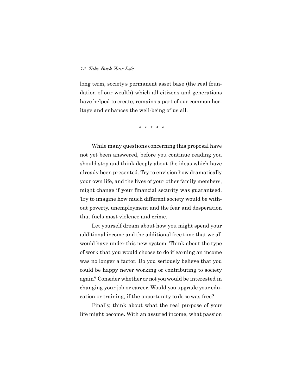long term, society's permanent asset base (the real foundation of our wealth) which all citizens and generations have helped to create, remains a part of our common heritage and enhances the well-being of us all.

*\* \* \* \* \**

While many questions concerning this proposal have not yet been answered, before you continue reading you should stop and think deeply about the ideas which have already been presented. Try to envision how dramatically your own life, and the lives of your other family members, might change if your financial security was guaranteed. Try to imagine how much different society would be without poverty, unemployment and the fear and desperation that fuels most violence and crime.

Let yourself dream about how you might spend your additional income and the additional free time that we all would have under this new system. Think about the type of work that you would choose to do if earning an income was no longer a factor. Do you seriously believe that you could be happy never working or contributing to society again? Consider whether or not you would be interested in changing your job or career. Would you upgrade your education or training, if the opportunity to do so was free?

Finally, think about what the real purpose of your life might become. With an assured income, what passion